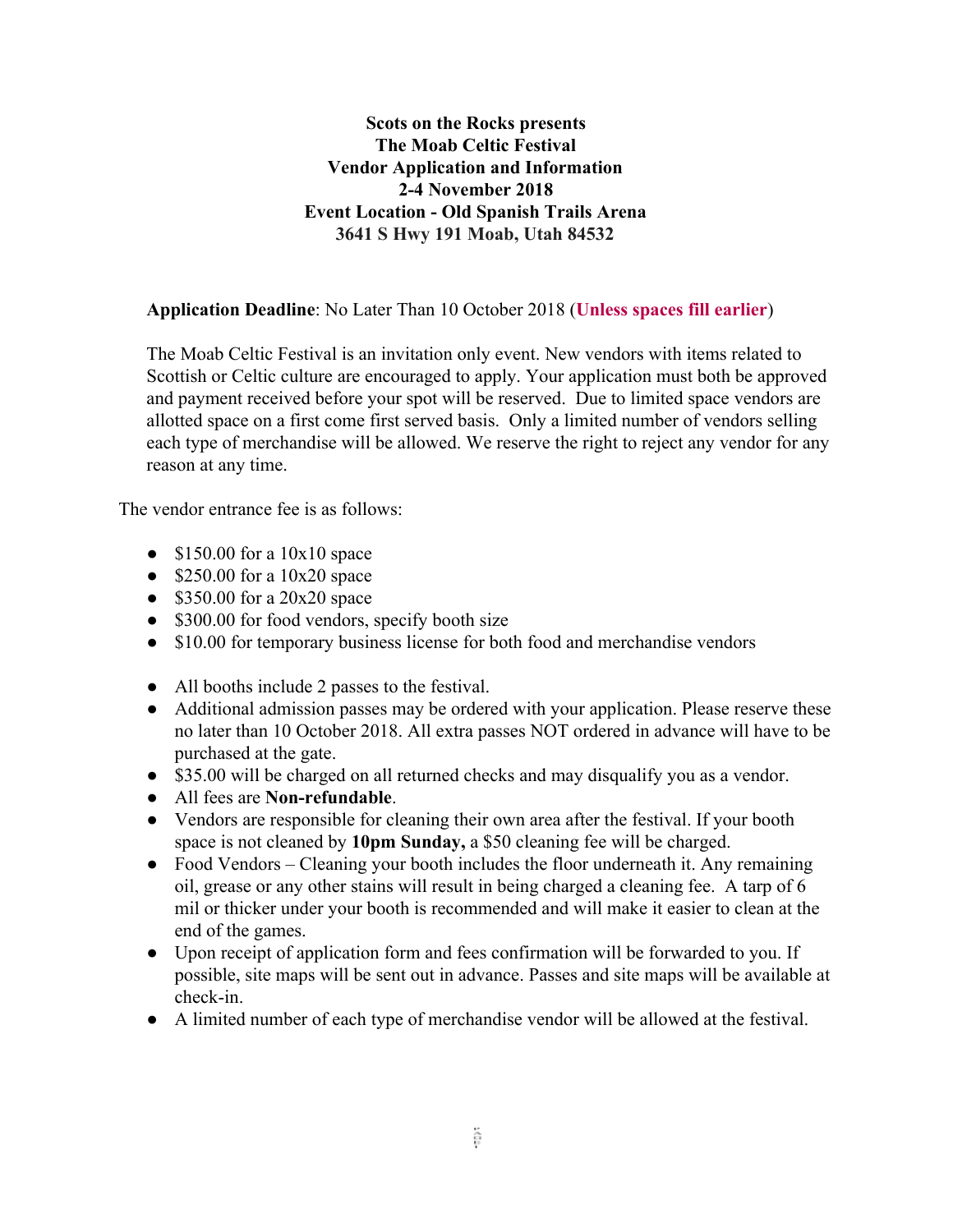# **Scots on the Rocks presents The Moab Celtic Festival Vendor Application and Information 2-4 November 2018 Event Location - Old Spanish Trails Arena 3641 S Hwy 191 Moab, Utah 84532**

## **Application Deadline**: No Later Than 10 October 2018 (**Unless spaces fill earlier**)

The Moab Celtic Festival is an invitation only event. New vendors with items related to Scottish or Celtic culture are encouraged to apply. Your application must both be approved and payment received before your spot will be reserved. Due to limited space vendors are allotted space on a first come first served basis. Only a limited number of vendors selling each type of merchandise will be allowed. We reserve the right to reject any vendor for any reason at any time.

The vendor entrance fee is as follows:

- $\bullet$  \$150.00 for a 10x10 space
- $\bullet$  \$250.00 for a 10x20 space
- $\bullet$  \$350.00 for a 20x20 space
- \$300.00 for food vendors, specify booth size
- \$10.00 for temporary business license for both food and merchandise vendors
- All booths include 2 passes to the festival.
- Additional admission passes may be ordered with your application. Please reserve these no later than 10 October 2018. All extra passes NOT ordered in advance will have to be purchased at the gate.
- \$35.00 will be charged on all returned checks and may disqualify you as a vendor.
- All fees are **Non-refundable**.
- Vendors are responsible for cleaning their own area after the festival. If your booth space is not cleaned by **10pm Sunday,** a \$50 cleaning fee will be charged.
- Food Vendors Cleaning your booth includes the floor underneath it. Any remaining oil, grease or any other stains will result in being charged a cleaning fee. A tarp of 6 mil or thicker under your booth is recommended and will make it easier to clean at the end of the games.
- Upon receipt of application form and fees confirmation will be forwarded to you. If possible, site maps will be sent out in advance. Passes and site maps will be available at check-in.
- A limited number of each type of merchandise vendor will be allowed at the festival.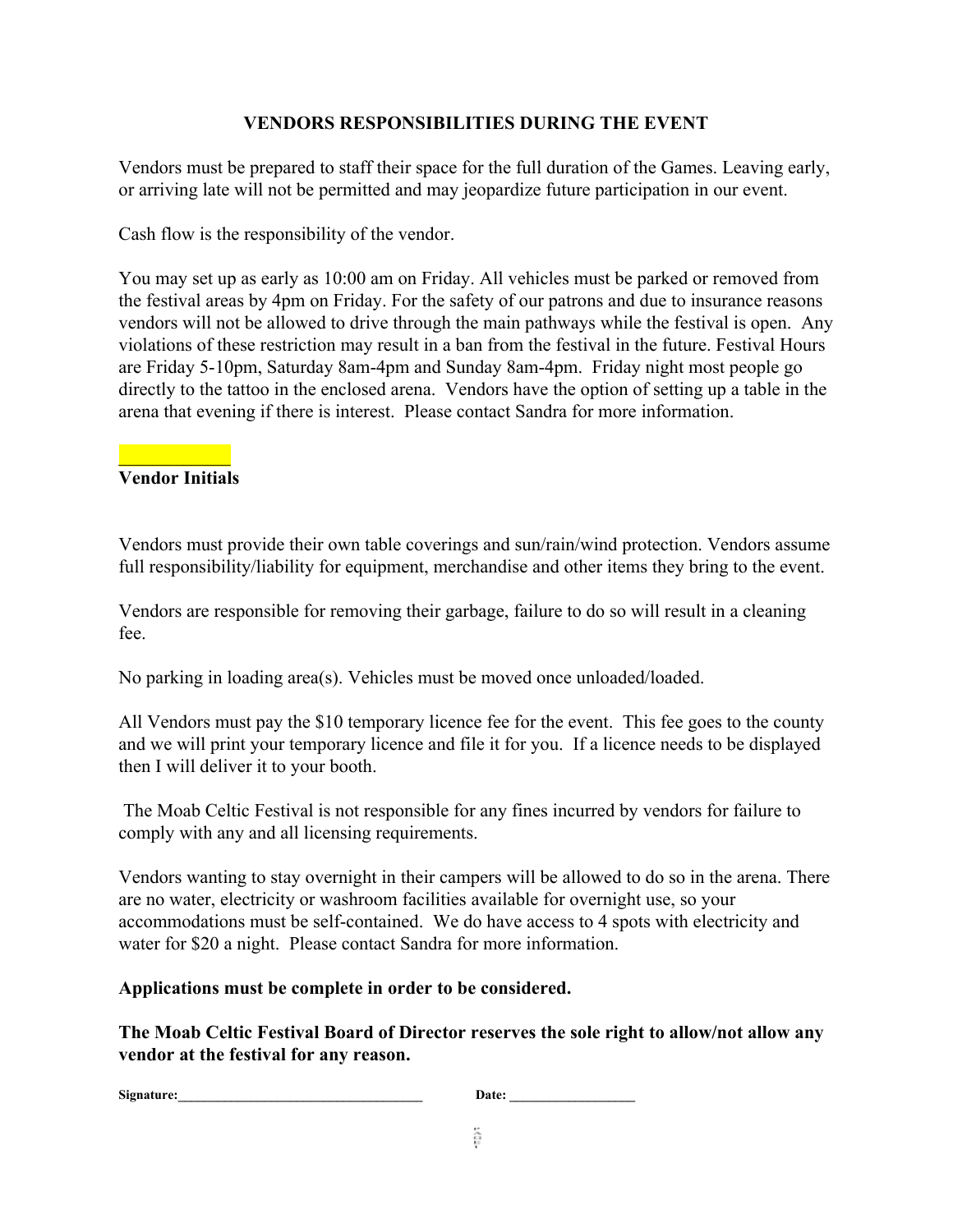# **VENDORS RESPONSIBILITIES DURING THE EVENT**

Vendors must be prepared to staff their space for the full duration of the Games. Leaving early, or arriving late will not be permitted and may jeopardize future participation in our event.

Cash flow is the responsibility of the vendor.

You may set up as early as 10:00 am on Friday. All vehicles must be parked or removed from the festival areas by 4pm on Friday. For the safety of our patrons and due to insurance reasons vendors will not be allowed to drive through the main pathways while the festival is open. Any violations of these restriction may result in a ban from the festival in the future. Festival Hours are Friday 5-10pm, Saturday 8am-4pm and Sunday 8am-4pm. Friday night most people go directly to the tattoo in the enclosed arena. Vendors have the option of setting up a table in the arena that evening if there is interest. Please contact Sandra for more information.

#### $\frac{1}{2}$  ,  $\frac{1}{2}$  ,  $\frac{1}{2}$  ,  $\frac{1}{2}$  ,  $\frac{1}{2}$ **Vendor Initials**

Vendors must provide their own table coverings and sun/rain/wind protection. Vendors assume full responsibility/liability for equipment, merchandise and other items they bring to the event.

Vendors are responsible for removing their garbage, failure to do so will result in a cleaning fee.

No parking in loading area(s). Vehicles must be moved once unloaded/loaded.

All Vendors must pay the \$10 temporary licence fee for the event. This fee goes to the county and we will print your temporary licence and file it for you. If a licence needs to be displayed then I will deliver it to your booth.

 The Moab Celtic Festival is not responsible for any fines incurred by vendors for failure to comply with any and all licensing requirements.

Vendors wanting to stay overnight in their campers will be allowed to do so in the arena. There are no water, electricity or washroom facilities available for overnight use, so your accommodations must be self-contained. We do have access to 4 spots with electricity and water for \$20 a night. Please contact Sandra for more information.

## **Applications must be complete in order to be considered.**

**The Moab Celtic Festival Board of Director reserves the sole right to allow/not allow any vendor at the festival for any reason.**

| Signature:<br>Date: |  |
|---------------------|--|
|---------------------|--|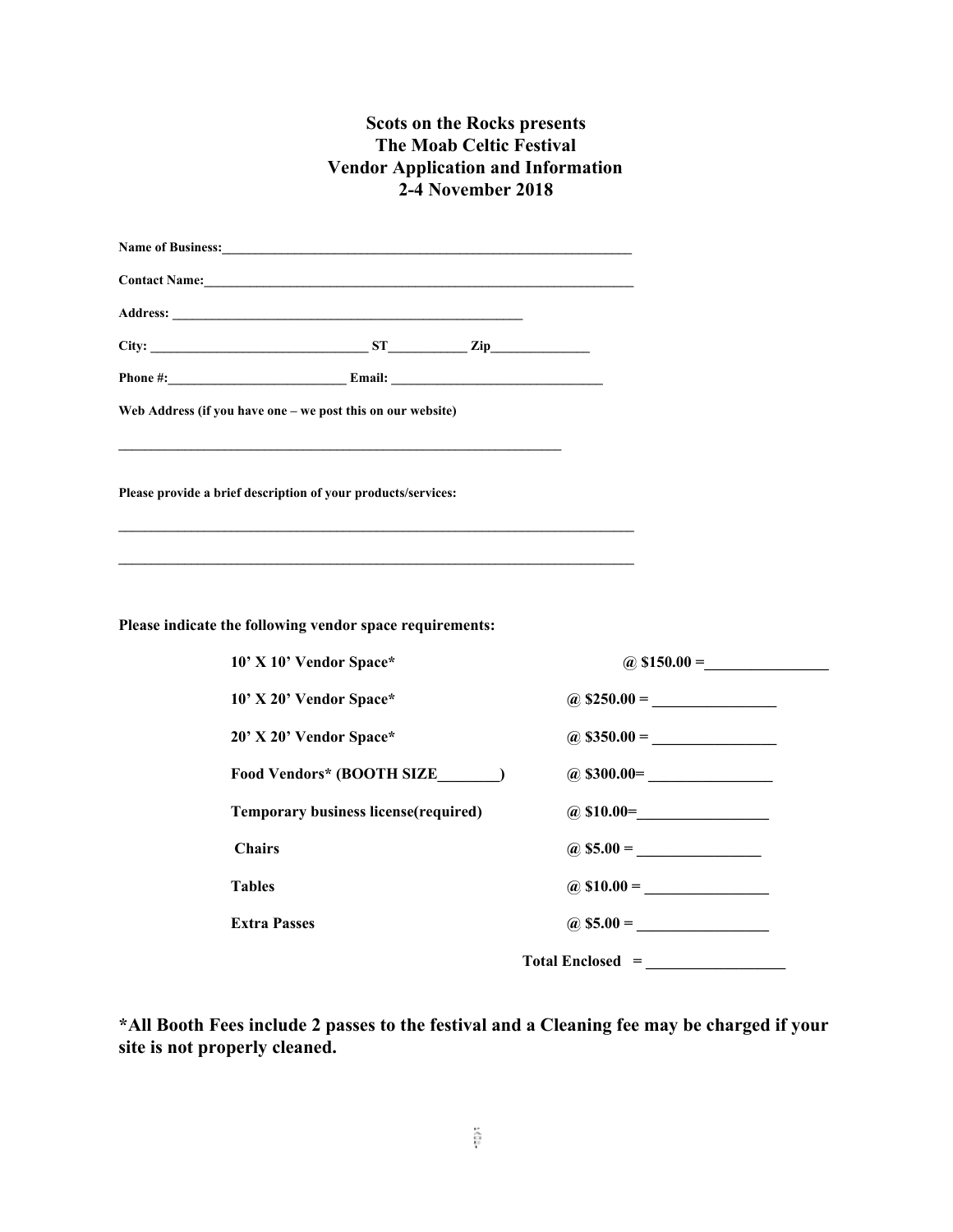## **Scots on the Rocks presents The Moab Celtic Festival Vendor Application and Information 2-4 November 2018**

| Name of Business: Name of Business:                           |                       |
|---------------------------------------------------------------|-----------------------|
| Contact Name: 1988 Contact Name:                              |                       |
|                                                               |                       |
| $City:$ $ST$ $Zip$ $Zip$                                      |                       |
|                                                               |                       |
| Web Address (if you have one - we post this on our website)   |                       |
|                                                               |                       |
| Please provide a brief description of your products/services: |                       |
|                                                               |                       |
|                                                               |                       |
|                                                               |                       |
| Please indicate the following vendor space requirements:      |                       |
| 10' X 10' Vendor Space*                                       | $(a)$ \$150.00 =      |
| 10' X 20' Vendor Space*                                       | $(a)$ \$250.00 =      |
| 20' X 20' Vendor Space*                                       | $(a)$ \$350.00 =      |
| Food Vendors* (BOOTH SIZE_______)                             | $(a)$ \$300.00=       |
| <b>Temporary business license(required)</b>                   | $(a) \$10.00 =$       |
| <b>Chairs</b>                                                 |                       |
| <b>Tables</b>                                                 | $\omega$ \$10.00 =    |
| <b>Extra Passes</b>                                           | $\omega$ \$5.00 =     |
|                                                               | $Total Enclosed = \_$ |

**\*All Booth Fees include 2 passes to the festival and a Cleaning fee may be charged if your site is not properly cleaned.**